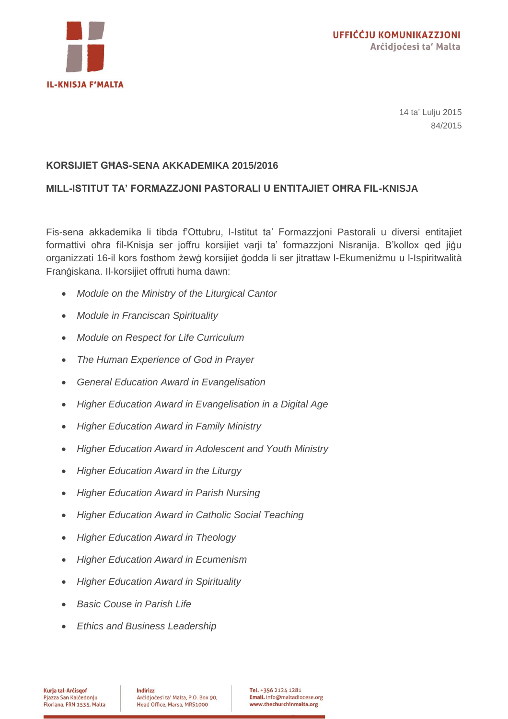

14 ta' Lulju 2015 84/2015

## **KORSIJIET GĦAS-SENA AKKADEMIKA 2015/2016**

## **MILL-ISTITUT TA' FORMAZZJONI PASTORALI U ENTITAJIET OĦRA FIL-KNISJA**

Fis-sena akkademika li tibda f'Ottubru, l-Istitut ta' Formazzjoni Pastorali u diversi entitajiet formattivi oħra fil-Knisja ser joffru korsijiet varji ta' formazzjoni Nisranija. B'kollox qed jiġu organizzati 16-il kors fosthom żewġ korsijiet ġodda li ser jitrattaw l-Ekumeniżmu u l-Ispiritwalità Franġiskana. Il-korsijiet offruti huma dawn:

- *Module on the Ministry of the Liturgical Cantor*
- *Module in Franciscan Spirituality*
- *Module on Respect for Life Curriculum*
- *The Human Experience of God in Prayer*
- *General Education Award in Evangelisation*
- *Higher Education Award in Evangelisation in a Digital Age*
- *Higher Education Award in Family Ministry*
- *Higher Education Award in Adolescent and Youth Ministry*
- *Higher Education Award in the Liturgy*
- *Higher Education Award in Parish Nursing*
- *Higher Education Award in Catholic Social Teaching*
- *Higher Education Award in Theology*
- *Higher Education Award in Ecumenism*
- *Higher Education Award in Spirituality*
- *Basic Couse in Parish Life*
- *Ethics and Business Leadership*